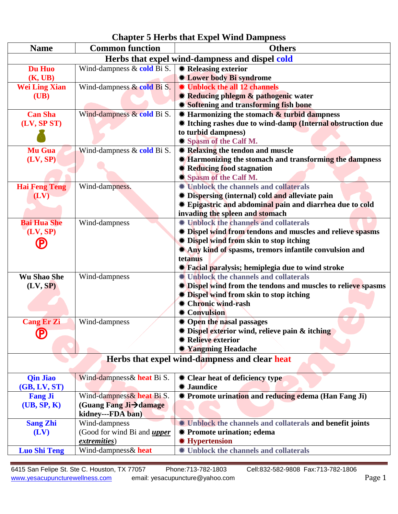| <b>Chapter 5 Herbs that Expel Wind Dampness</b> |                                    |                                                                               |
|-------------------------------------------------|------------------------------------|-------------------------------------------------------------------------------|
| <b>Name</b>                                     | <b>Common function</b>             | <b>Others</b>                                                                 |
| Herbs that expel wind-dampness and dispel cold  |                                    |                                                                               |
| Du Huo                                          | Wind-dampness & cold Bi S.         | <b>* Releasing exterior</b>                                                   |
| (K, UB)                                         |                                    | <b>* Lower body Bi syndrome</b>                                               |
| <b>Wei Ling Xian</b>                            | Wind-dampness & cold Bi S.         | <b>**</b> Unblock the all 12 channels                                         |
| (UB)                                            |                                    | <b>* Reducing phlegm &amp; pathogenic water</b>                               |
|                                                 |                                    | <b>* Softening and transforming fish bone</b>                                 |
| <b>Can Sha</b>                                  | Wind-dampness & cold Bi S.         | <b>* Harmonizing the stomach &amp; turbid dampness</b>                        |
| (LV, SP ST)                                     |                                    | <b>* Itching rashes due to wind-damp (Internal obstruction due</b>            |
|                                                 |                                    | to turbid dampness)                                                           |
|                                                 |                                    | * Spasm of the Calf M.                                                        |
| <b>Mu Gua</b>                                   | Wind-dampness & cold Bi S.         | <b>** Relaxing the tendon and muscle</b>                                      |
| (LV, SP)                                        |                                    | <b>* Harmonizing the stomach and transforming the dampness</b>                |
|                                                 |                                    | <b>* Reducing food stagnation</b><br><b>* Spasm of the Calf M.</b>            |
| <b>Hai Feng Teng</b>                            | Wind-dampness.                     | <b>** Unblock the channels and collaterals</b>                                |
| (LV)                                            |                                    | * Dispersing (internal) cold and alleviate pain                               |
|                                                 |                                    | * Epigastric and abdominal pain and diarrhea due to cold                      |
|                                                 |                                    | invading the spleen and stomach                                               |
| <b>Bai Hua She</b>                              | Wind-dampness                      | <b>**</b> Unblock the channels and collaterals                                |
| (LV, SP)                                        |                                    | * Dispel wind from tendons and muscles and relieve spasms                     |
|                                                 |                                    | * Dispel wind from skin to stop itching                                       |
|                                                 |                                    | * Any kind of spasms, tremors infantile convulsion and                        |
|                                                 |                                    | tetanus                                                                       |
|                                                 |                                    | <b>* Facial paralysis; hemiplegia due to wind stroke</b>                      |
| <b>Wu Shao She</b>                              | Wind-dampness                      | <b>**</b> Unblock the channels and collaterals                                |
| (LV, SP)                                        |                                    | * Dispel wind from the tendons and muscles to relieve spasms                  |
|                                                 |                                    | <b>* Dispel wind from skin to stop itching</b><br><b>**</b> Chronic wind-rash |
|                                                 |                                    | <b>* Convulsion</b>                                                           |
| <b>Cang Er Zi</b>                               | Wind-dampness                      | * Open the nasal passages                                                     |
|                                                 |                                    | * Dispel exterior wind, relieve pain & itching                                |
| $\bm{\mathsf{P}}$                               |                                    | <b>**</b> Relieve exterior                                                    |
|                                                 |                                    | <b>* Yangming Headache</b>                                                    |
|                                                 |                                    | Herbs that expel wind-dampness and clear heat                                 |
|                                                 |                                    |                                                                               |
| <b>Qin Jiao</b>                                 | Wind-dampness & heat Bi S.         | <b>**</b> Clear heat of deficiency type                                       |
| (GB, LV, ST)                                    |                                    | <b><del>☀</del></b> Jaundice                                                  |
| <b>Fang Ji</b>                                  | Wind-dampness & heat Bi S.         | * Promote urination and reducing edema (Han Fang Ji)                          |
| (UB, SP, K)                                     | (Guang Fang Ji > damage            |                                                                               |
|                                                 | kidney---FDA ban)                  |                                                                               |
| <b>Sang Zhi</b>                                 | Wind-dampness                      | * Unblock the channels and collaterals and benefit joints                     |
| (LV)                                            | (Good for wind Bi and <i>upper</i> | <b>* Promote urination; edema</b>                                             |
|                                                 | extremities)                       | <b>* Hypertension</b>                                                         |
| <b>Luo Shi Teng</b>                             | Wind-dampness& heat                | <b>**</b> Unblock the channels and collaterals                                |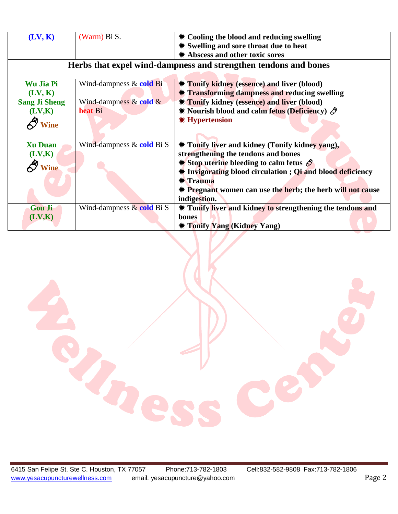| (LV, K)              | (Warm) Bi S.                     | * Cooling the blood and reducing swelling                         |
|----------------------|----------------------------------|-------------------------------------------------------------------|
|                      |                                  | <b><math>*</math> Swelling and sore throat due to heat</b>        |
|                      |                                  | * Abscess and other toxic sores                                   |
|                      |                                  | Herbs that expel wind-dampness and strengthen tendons and bones   |
|                      |                                  |                                                                   |
| <b>Wu Jia Pi</b>     | Wind-dampness $& \text{cold Bi}$ | <b>** Tonify kidney (essence) and liver (blood)</b>               |
| (LV, K)              |                                  | <b>* Transforming dampness and reducing swelling</b>              |
| <b>Sang Ji Sheng</b> | Wind-dampness & cold &           | <b>** Tonify kidney (essence) and liver (blood)</b>               |
| (LV,K)               | heat Bi                          | * Nourish blood and calm fetus (Deficiency) $\mathcal{S}$         |
| Wine                 |                                  | <b>** Hypertension</b>                                            |
|                      |                                  |                                                                   |
| <b>Xu Duan</b>       | Wind-dampness & cold Bi S        | <b>* Tonify liver and kidney (Tonify kidney yang),</b>            |
| (LV,K)               |                                  | strengthening the tendons and bones                               |
|                      |                                  | * Stop uterine bleeding to calm fetus $\mathscr{S}$               |
| <b>Wine</b>          |                                  | <b>* Invigorating blood circulation ; Qi and blood deficiency</b> |
|                      |                                  | <b>*</b> Trauma                                                   |
|                      |                                  | <b>* Pregnant women can use the herb; the herb will not cause</b> |
|                      |                                  | indigestion.                                                      |
| <b>Gou Ji</b>        | Wind-dampness & cold Bi S        | * Tonify liver and kidney to strengthening the tendons and        |
| (LV,K)               |                                  | bones                                                             |
|                      |                                  | <b>* Tonify Yang (Kidney Yang)</b>                                |

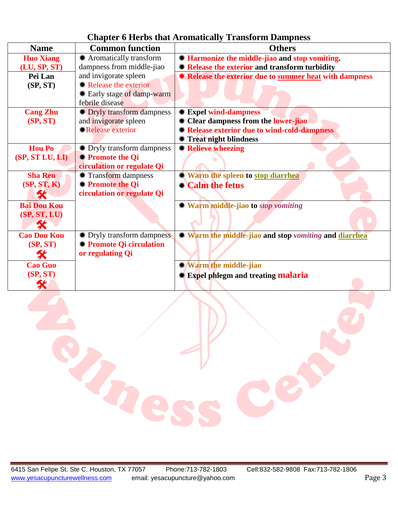| Chapter 6 Herbs that Aromatically Transform Dampness |                                                |                                                                |
|------------------------------------------------------|------------------------------------------------|----------------------------------------------------------------|
| <b>Name</b>                                          | <b>Common function</b>                         | <b>Others</b>                                                  |
| <b>Huo Xiang</b>                                     | <b>☀ Aromatically transform</b>                | <b>* Harmonize the middle-jiao and stop vomiting.</b>          |
| (LU, SP, ST)                                         | dampness from middle-jiao                      | <b>* Release the exterior and transform turbidity</b>          |
| Pei Lan                                              | and invigorate spleen                          | <b>* Release the exterior due to summer heat with dampness</b> |
| (SP, ST)                                             | <b>**</b> Release the exterior                 |                                                                |
|                                                      | <b>*</b> Early stage of damp-warm              |                                                                |
|                                                      | febrile disease                                |                                                                |
| <b>Cang Zhu</b>                                      | <b>*</b> Dryly transform dampness              | <b>* Expel wind-dampness</b>                                   |
| (SP, ST)                                             | and invigorate spleen                          | <b>* Clear dampness from the lower-jiao</b>                    |
|                                                      | <b>*Release</b> exterior                       | <b>* Release exterior due to wind-cold-dampness</b>            |
|                                                      |                                                | <b>** Treat night blindness</b>                                |
| <b>Hou Po</b>                                        | <b><math>*</math> Dryly transform dampness</b> | <b>** Relieve wheezing</b>                                     |
| (SP, ST LU, LI)                                      | <b>** Promote the Qi</b>                       |                                                                |
|                                                      | circulation or regulate Qi                     |                                                                |
| <b>Sha Ren</b>                                       | <b>*</b> Transform dampness                    | <b>** Warm the spleen to stop diarrhea</b>                     |
| (SP, ST, K)                                          | <b>*</b> Promote the Qi                        | <b>** Calm the fetus</b>                                       |
| 父                                                    | circulation or regulate Qi                     |                                                                |
| <b>Bai Dou Kou</b>                                   |                                                | <b>* Warm middle-jiao to stop vomiting</b>                     |
| (SP, ST, LU)                                         |                                                |                                                                |
| X                                                    |                                                |                                                                |
| <b>Cao Dou Kou</b>                                   | <b>☀ Dryly transform dampness</b>              | * Warm the middle-jiao and stop vomiting and diarrhea          |
| (SP, ST)                                             | <b>* Promote Qi circulation</b>                |                                                                |
| 父                                                    | or regulating Qi                               |                                                                |
| <b>Cao Guo</b>                                       |                                                | * Warm the middle-jiao                                         |
| (SP, ST)                                             |                                                | <b>*</b> Expel philegm and treating malaria                    |
| X                                                    |                                                |                                                                |

## **Chapter 6 Herbs that Aromatically Transform Dampness**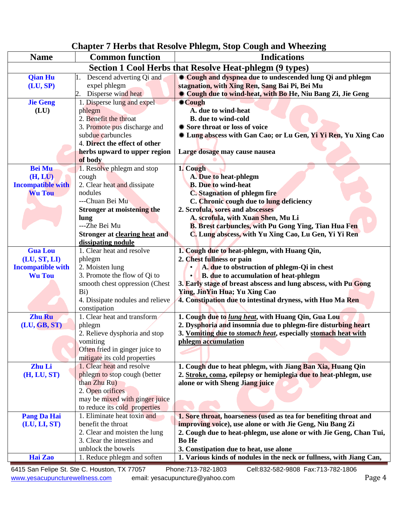| <b>Name</b>                         | <b>Common function</b>                                       | Спаркт 7 негоз паткезогус і шедш, этор Соадн ана тупеслінд<br><b>Indications</b> |  |  |
|-------------------------------------|--------------------------------------------------------------|----------------------------------------------------------------------------------|--|--|
|                                     |                                                              |                                                                                  |  |  |
|                                     | Section 1 Cool Herbs that Resolve Heat-phlegm (9 types)      |                                                                                  |  |  |
| <b>Qian Hu</b>                      | Descend adverting Qi and<br>1.                               | * Cough and dyspnea due to undescended lung Qi and phlegm                        |  |  |
| (LU, SP)                            | expel phlegm                                                 | stagnation, with Xing Ren, Sang Bai Pi, Bei Mu                                   |  |  |
|                                     | 2.<br>Disperse wind heat                                     | * Cough due to wind-heat, with Bo He, Niu Bang Zi, Jie Geng                      |  |  |
| <b>Jie Geng</b>                     | 1. Disperse lung and expel                                   | <b>*Cough</b>                                                                    |  |  |
| (LU)                                | phlegm                                                       | A. due to wind-heat                                                              |  |  |
|                                     | 2. Benefit the throat                                        | <b>B.</b> due to wind-cold                                                       |  |  |
|                                     | 3. Promote pus discharge and                                 | * Sore throat or loss of voice                                                   |  |  |
|                                     | subdue carbuncles                                            | * Lung abscess with Gan Cao; or Lu Gen, Yi Yi Ren, Yu Xing Cao                   |  |  |
|                                     | 4. Direct the effect of other                                |                                                                                  |  |  |
|                                     | herbs upward to upper region                                 | Large dosage may cause nausea                                                    |  |  |
|                                     | of body                                                      |                                                                                  |  |  |
| <b>Bei Mu</b>                       | 1. Resolve phlegm and stop                                   | 1. Cough                                                                         |  |  |
| (H, LU)<br><b>Incompatible with</b> | cough                                                        | A. Due to heat-phlegm<br><b>B.</b> Due to wind-heat                              |  |  |
| <b>Wu Tou</b>                       | 2. Clear heat and dissipate<br>nodules                       | <b>C.</b> Stagnation of phlegm fire                                              |  |  |
|                                     | ---Chuan Bei Mu                                              | C. Chronic cough due to lung deficiency                                          |  |  |
|                                     | <b>Stronger at moistening the</b>                            | 2. Scrofula, sores and abscesses                                                 |  |  |
|                                     | lung                                                         | A. scrofula, with Xuan Shen, Mu Li                                               |  |  |
|                                     | ---Zhe Bei Mu                                                | <b>B.</b> Brest carbuncles, with Pu Gong Ying, Tian Hua Fen                      |  |  |
|                                     | Stronger at clearing heat and                                | C. Lung abscess, with Yu Xing Cao, Lu Gen, Yi Yi Ren                             |  |  |
|                                     | dissipating nodule                                           |                                                                                  |  |  |
| <b>Gua Lou</b>                      | 1. Clear heat and resolve                                    | 1. Cough due to heat-phlegm, with Huang Qin,                                     |  |  |
| (LU, ST, LI)                        | phlegm                                                       | 2. Chest fullness or pain                                                        |  |  |
| <b>Incompatible with</b>            | 2. Moisten lung                                              | A. due to obstruction of phlegm-Qi in chest                                      |  |  |
| <b>Wu Tou</b>                       | 3. Promote the flow of Qi to                                 | B. due to accumulation of heat-phlegm                                            |  |  |
|                                     | smooth chest oppression (Chest                               | 3. Early stage of breast abscess and lung abscess, with Pu Gong                  |  |  |
|                                     | Bi)                                                          | Ying, JinYin Hua; Yu Xing Cao                                                    |  |  |
|                                     | 4. Dissipate nodules and relieve                             | 4. Constipation due to intestinal dryness, with Huo Ma Ren                       |  |  |
|                                     | constipation                                                 |                                                                                  |  |  |
| <b>Zhu Ru</b>                       | 1. Clear heat and transform                                  | 1. Cough due to lung heat, with Huang Qin, Gua Lou                               |  |  |
| (LU, GB, ST)                        | phlegm                                                       | 2. Dysphoria and insomnia due to phlegm-fire disturbing heart                    |  |  |
|                                     | 2. Relieve dysphoria and stop                                | 3. Vomiting due to <i>stomach heat</i> , especially stomach heat with            |  |  |
|                                     | vomiting                                                     | phlegm accumulation                                                              |  |  |
|                                     | Often fried in ginger juice to                               |                                                                                  |  |  |
|                                     | mitigate its cold properties                                 |                                                                                  |  |  |
| Zhu Li                              | 1. Clear heat and resolve                                    | 1. Cough due to heat phlegm, with Jiang Ban Xia, Huang Qin                       |  |  |
| (H, LU, ST)                         | phlegm to stop cough (better                                 | 2. Stroke, coma, epilepsy or hemiplegia due to heat-phlegm, use                  |  |  |
|                                     | than Zhu Ru)                                                 | alone or with Sheng Jiang juice                                                  |  |  |
|                                     | 2. Open orifices                                             |                                                                                  |  |  |
|                                     | may be mixed with ginger juice                               |                                                                                  |  |  |
|                                     | to reduce its cold properties                                |                                                                                  |  |  |
| <b>Pang Da Hai</b>                  | 1. Eliminate heat toxin and                                  | 1. Sore throat, hoarseness (used as tea for benefiting throat and                |  |  |
| (LU, LI, ST)                        | benefit the throat                                           | improving voice), use alone or with Jie Geng, Niu Bang Zi                        |  |  |
|                                     | 2. Clear and moisten the lung<br>3. Clear the intestines and | 2. Cough due to heat-phlegm, use alone or with Jie Geng, Chan Tui,               |  |  |
|                                     | unblock the bowels                                           | <b>Bo</b> He                                                                     |  |  |
|                                     |                                                              | 3. Constipation due to heat, use alone                                           |  |  |
| Hai Zao                             | 1. Reduce phlegm and soften                                  | 1. Various kinds of nodules in the neck or fullness, with Jiang Can,             |  |  |

### **Chapter 7 Herbs that Resolve Phlegm, Stop Cough and Wheezing**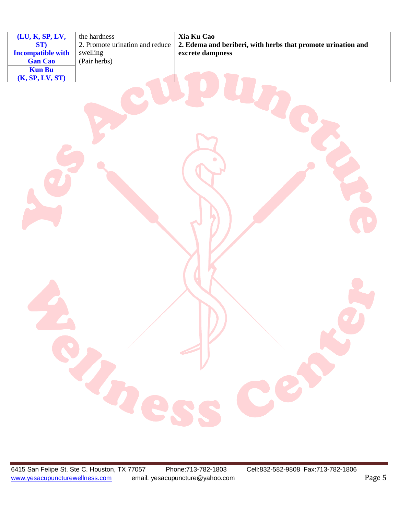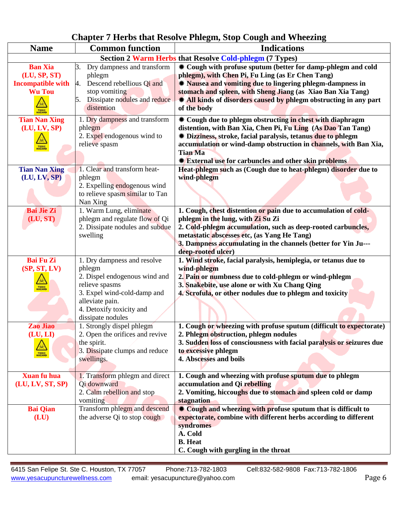|                                                                                                       |                                                                                                                                                                                             | <b>Chapter 7 Herbs that Resolve Phlegm, Stop Cough and Wheezing</b>                                                                                                                                                                                                                                                                             |  |
|-------------------------------------------------------------------------------------------------------|---------------------------------------------------------------------------------------------------------------------------------------------------------------------------------------------|-------------------------------------------------------------------------------------------------------------------------------------------------------------------------------------------------------------------------------------------------------------------------------------------------------------------------------------------------|--|
| <b>Name</b>                                                                                           | <b>Common function</b>                                                                                                                                                                      | <b>Indications</b>                                                                                                                                                                                                                                                                                                                              |  |
|                                                                                                       | <b>Section 2 Warm Herbs that Resolve Cold-phlegm (7 Types)</b>                                                                                                                              |                                                                                                                                                                                                                                                                                                                                                 |  |
| <b>Ban Xia</b><br>(LU, SP, ST)<br><b>Incompatible with</b><br><b>Wu Tou</b><br><b>TOXIC</b><br>HAZARE | 3. Dry dampness and transform<br>phlegm<br>4. Descend rebellious Qi and<br>stop vomiting<br>Dissipate nodules and reduce<br>distention                                                      | * Cough with profuse sputum (better for damp-phlegm and cold<br>phlegm), with Chen Pi, Fu Ling (as Er Chen Tang)<br>* Nausea and vomiting due to lingering phlegm-dampness in<br>stomach and spleen, with Sheng Jiang (as Xiao Ban Xia Tang)<br>* All kinds of disorders caused by phlegm obstructing in any part<br>of the body                |  |
| <b>Tian Nan Xing</b><br>(LU, LV, SP)<br><b>TOXIC</b><br>HAZARD                                        | 1. Dry dampness and transform<br>phlegm<br>2. Expel endogenous wind to<br>relieve spasm                                                                                                     | * Cough due to phlegm obstructing in chest with diaphragm<br>distention, with Ban Xia, Chen Pi, Fu Ling (As Dao Tan Tang)<br>* Dizziness, stroke, facial paralysis, tetanus due to phlegm<br>accumulation or wind-damp obstruction in channels, with Ban Xia,<br><b>Tian Ma</b><br><b>* External use for carbuncles and other skin problems</b> |  |
| <b>Tian Nan Xing</b><br>(LU, LV, SP)                                                                  | 1. Clear and transform heat-<br>phlegm<br>2. Expelling endogenous wind<br>to relieve spasm similar to Tan<br>Nan Xing                                                                       | Heat-phlegm such as (Cough due to heat-phlegm) disorder due to<br>wind-phlegm                                                                                                                                                                                                                                                                   |  |
| <b>Bai Jie Zi</b><br>(LU, ST)                                                                         | 1. Warm Lung, eliminate<br>phlegm and regulate flow of Qi<br>2. Dissipate nodules and subdue<br>swelling                                                                                    | 1. Cough, chest distention or pain due to accumulation of cold-<br>phlegm in the lung, with Zi Su Zi<br>2. Cold-phlegm accumulation, such as deep-rooted carbuncles,<br>metastatic abscesses etc, (as Yang He Tang)<br>3. Dampness accumulating in the channels (better for Yin Ju---<br>deep-rooted ulcer)                                     |  |
| <b>Bai Fu Zi</b><br>(SP, ST, LV)<br><b>TOXIC</b><br>HAZARD                                            | 1. Dry dampness and resolve<br>phlegm<br>2. Dispel endogenous wind and<br>relieve spasms<br>3. Expel wind-cold-damp and<br>alleviate pain.<br>4. Detoxify toxicity and<br>dissipate nodules | 1. Wind stroke, facial paralysis, hemiplegia, or tetanus due to<br>wind-phlegm<br>2. Pain or numbness due to cold-phlegm or wind-phlegm<br>3. Snakebite, use alone or with Xu Chang Qing<br>4. Scrofula, or other nodules due to phlegm and toxicity                                                                                            |  |
| Zao Jiao<br>(LU, LI)<br>$\mathbb{Q}$<br><b>TOXIC</b><br>HAZARD                                        | 1. Strongly dispel phlegm<br>2. Open the orifices and revive<br>the spirit.<br>3. Dissipate clumps and reduce<br>swellings.                                                                 | 1. Cough or wheezing with profuse sputum (difficult to expectorate)<br>2. Phlegm obstruction, phlegm nodules<br>3. Sudden loss of consciousness with facial paralysis or seizures due<br>to excessive phlegm<br>4. Abscesses and boils                                                                                                          |  |
| <b>Xuan fu hua</b><br>(LU, LV, ST, SP)                                                                | 1. Transform phlegm and direct<br>Qi downward<br>2. Calm rebellion and stop<br>vomiting                                                                                                     | 1. Cough and wheezing with profuse sputum due to phlegm<br>accumulation and Qi rebelling<br>2. Vomiting, hiccoughs due to stomach and spleen cold or damp<br>stagnation                                                                                                                                                                         |  |
| <b>Bai Qian</b><br>(LU)                                                                               | Transform phlegm and descend<br>the adverse Qi to stop cough                                                                                                                                | * Cough and wheezing with profuse sputum that is difficult to<br>expectorate, combine with different herbs according to different<br>syndromes<br>A. Cold<br><b>B.</b> Heat<br>C. Cough with gurgling in the throat                                                                                                                             |  |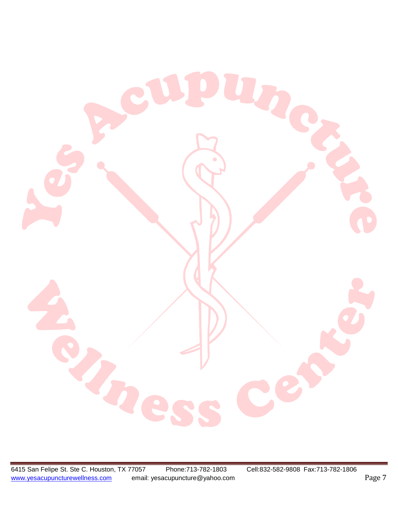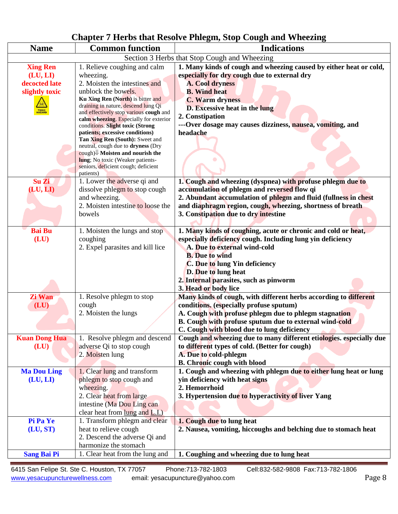|                        |                                                                          | <b>Chapter 7 Herbs that Resolve Phlegm, Stop Cough and Wheezing</b> |
|------------------------|--------------------------------------------------------------------------|---------------------------------------------------------------------|
| <b>Name</b>            | <b>Common function</b>                                                   | <b>Indications</b>                                                  |
|                        |                                                                          | Section 3 Herbs that Stop Cough and Wheezing                        |
| <b>Xing Ren</b>        | 1. Relieve coughing and calm                                             | 1. Many kinds of cough and wheezing caused by either heat or cold,  |
| (LU, LI)               | wheezing.                                                                | especially for dry cough due to external dry                        |
| decocted late          | 2. Moisten the intestines and                                            | <b>A. Cool dryness</b>                                              |
| slightly toxic         | unblock the bowels.                                                      | <b>B.</b> Wind heat                                                 |
|                        | Ku Xing Ren (North) is bitter and<br>draining in nature, descend lung Qi | <b>C. Warm dryness</b>                                              |
| <b>TOXIC</b><br>HAZARD | and effectively stop various cough and                                   | D. Excessive heat in the lung                                       |
|                        | calm wheezing. Especially for exterior                                   | 2. Constipation                                                     |
|                        | conditions. Slight toxic (Strong                                         | ---Over dosage may causes dizziness, nausea, vomiting, and          |
|                        | patients; excessive conditions)<br>Tan Xing Ren (South): Sweet and       | headache                                                            |
|                        | neutral, cough due to dryness (Dry                                       |                                                                     |
|                        | cough) $\Downarrow$ Moisten and nourish the                              |                                                                     |
|                        | lung; No toxic (Weaker patients-                                         |                                                                     |
|                        | seniors, deficient cough; deficient<br>patients)                         |                                                                     |
| Su Zi                  | 1. Lower the adverse qi and                                              | 1. Cough and wheezing (dyspnea) with profuse phlegm due to          |
| (LU, LI)               | dissolve phlegm to stop cough                                            | accumulation of phlegm and reversed flow qi                         |
|                        | and wheezing.                                                            | 2. Abundant accumulation of phlegm and fluid (fullness in chest     |
|                        | 2. Moisten intestine to loose the                                        | and diaphragm region, cough, wheezing, shortness of breath          |
|                        | bowels                                                                   | 3. Constipation due to dry intestine                                |
|                        |                                                                          |                                                                     |
| <b>Bai Bu</b>          | 1. Moisten the lungs and stop                                            | 1. Many kinds of coughing, acute or chronic and cold or heat,       |
| (LU)                   | coughing                                                                 | especially deficiency cough. Including lung yin deficiency          |
|                        | 2. Expel parasites and kill lice                                         | A. Due to external wind-cold                                        |
|                        |                                                                          | <b>B.</b> Due to wind                                               |
|                        |                                                                          | C. Due to lung Yin deficiency                                       |
|                        |                                                                          | D. Due to lung heat<br>2. Internal parasites, such as pinworm       |
|                        |                                                                          | 3. Head or body lice                                                |
| Zi Wan                 | 1. Resolve phlegm to stop                                                | Many kinds of cough, with different herbs according to different    |
| (LU)                   | cough                                                                    | conditions. (especially profuse sputum)                             |
|                        | 2. Moisten the lungs                                                     | A. Cough with profuse phlegm due to phlegm stagnation               |
|                        |                                                                          | B. Cough with profuse sputum due to external wind-cold              |
|                        |                                                                          | C. Cough with blood due to lung deficiency                          |
| <b>Kuan Dong Hua</b>   | 1. Resolve phlegm and descend                                            | Cough and wheezing due to many different etiologies. especially due |
| (LU)                   | adverse Qi to stop cough                                                 | to different types of cold. (Better for cough)                      |
|                        | 2. Moisten lung                                                          | A. Due to cold-phlegm                                               |
|                        |                                                                          | <b>B.</b> Chronic cough with blood                                  |
| <b>Ma Dou Ling</b>     | 1. Clear lung and transform                                              | 1. Cough and wheezing with phlegm due to either lung heat or lung   |
| (LU, LI)               | phlegm to stop cough and                                                 | yin deficiency with heat signs<br>2. Hemorrhoid                     |
|                        | wheezing.<br>2. Clear heat from large                                    |                                                                     |
|                        | intestine (Ma Dou Ling can                                               | 3. Hypertension due to hyperactivity of liver Yang                  |
|                        | clear heat from lung and L.I.)                                           |                                                                     |
| Pi Pa Ye               | 1. Transform phlegm and clear                                            | 1. Cough due to lung heat                                           |
| (LU, ST)               | heat to relieve cough                                                    | 2. Nausea, vomiting, hiccoughs and belching due to stomach heat     |
|                        | 2. Descend the adverse Qi and                                            |                                                                     |
|                        | harmonize the stomach                                                    |                                                                     |
| <b>Sang Bai Pi</b>     | 1. Clear heat from the lung and                                          | 1. Coughing and wheezing due to lung heat                           |
|                        |                                                                          |                                                                     |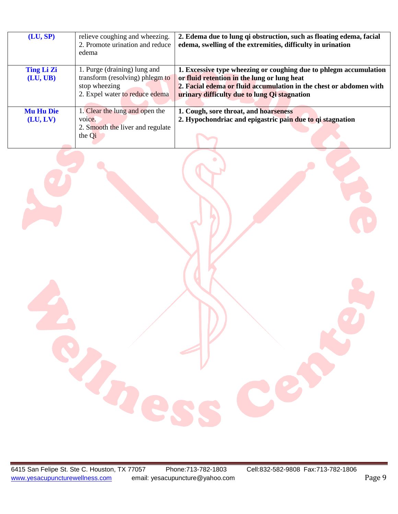| (LU, SP)                      | relieve coughing and wheezing.<br>2. Promote urination and reduce<br>edema                                         | 2. Edema due to lung qi obstruction, such as floating edema, facial<br>edema, swelling of the extremities, difficulty in urination                                                                                                     |
|-------------------------------|--------------------------------------------------------------------------------------------------------------------|----------------------------------------------------------------------------------------------------------------------------------------------------------------------------------------------------------------------------------------|
| <b>Ting Li Zi</b><br>(LU, UB) | 1. Purge (draining) lung and<br>transform (resolving) phlegm to<br>stop wheezing<br>2. Expel water to reduce edema | 1. Excessive type wheezing or coughing due to phlegm accumulation<br>or fluid retention in the lung or lung heat<br>2. Facial edema or fluid accumulation in the chest or abdomen with<br>urinary difficulty due to lung Qi stagnation |
| <b>Mu Hu Die</b><br>(LU, LV)  | 1. Clear the lung and open the<br>voice.<br>2. Smooth the liver and regulate<br>the Qi                             | 1. Cough, sore throat, and hoarseness<br>2. Hypochondriac and epigastric pain due to qi stagnation                                                                                                                                     |
|                               |                                                                                                                    |                                                                                                                                                                                                                                        |
|                               |                                                                                                                    |                                                                                                                                                                                                                                        |
|                               |                                                                                                                    |                                                                                                                                                                                                                                        |
|                               |                                                                                                                    |                                                                                                                                                                                                                                        |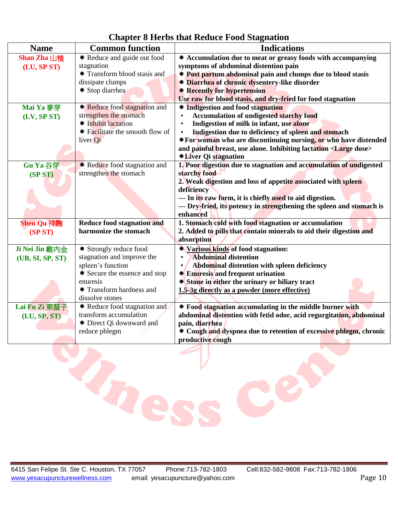|                       |                                        | Unapiti o fitips mai ixtuutt rood biagnahon                                 |
|-----------------------|----------------------------------------|-----------------------------------------------------------------------------|
| <b>Name</b>           | <b>Common function</b>                 | <b>Indications</b>                                                          |
| Shan Zha 山楂           | * Reduce and guide out food            | * Accumulation due to meat or greasy foods with accompanying                |
| (LU, SP ST)           | stagnation                             | symptoms of abdominal distention pain                                       |
|                       | * Transform blood stasis and           | * Post partum abdominal pain and clumps due to blood stasis                 |
|                       | dissipate clumps                       | * Diarrhea of chronic dysentery-like disorder                               |
|                       | * Stop diarrhea                        | <b>* Recently for hypertension</b>                                          |
|                       |                                        | Use raw for blood stasis, and dry-fried for food stagnation                 |
| Mai Ya 麥芽             | <b>* Reduce food stagnation and</b>    | <b>* Indigestion and food stagnation</b>                                    |
| (LV, SP ST)           | strengthen the stomach                 | <b>Accumulation of undigested starchy food</b>                              |
|                       | <b>*</b> Inhibit lactation             | Indigestion of milk in infant, use alone<br>$\bullet$                       |
|                       | <b>*</b> Facilitate the smooth flow of | Indigestion due to deficiency of spleen and stomach                         |
|                       | liver Qi                               | <b>*For woman who are discontinuing nursing, or who have distended</b>      |
|                       |                                        | and painful breast, use alone. Inhibiting lactation <large dose=""></large> |
|                       |                                        | <b>*Liver Qi stagnation</b>                                                 |
| <b>Gu Ya 谷芽</b>       | * Reduce food stagnation and           | 1. Poor digestion due to stagnation and accumulation of undigested          |
| (SP ST)               | strengthen the stomach                 | starchy food                                                                |
|                       |                                        | 2. Weak digestion and loss of appetite associated with spleen               |
|                       |                                        | deficiency                                                                  |
|                       |                                        | --- In its raw form, it is chiefly used to aid digestion.                   |
|                       |                                        | --- Dry-fried, its potency in strengthening the spleen and stomach is       |
|                       |                                        | enhanced                                                                    |
| <b>Shen Qu 神麴</b>     | <b>Reduce food stagnation and</b>      | 1. Stomach cold with food stagnation or accumulation                        |
| (SP ST)               | harmonize the stomach                  | 2. Added to pills that contain minerals to aid their digestion and          |
|                       |                                        | absorption                                                                  |
| <b>Ji Nei Jin 雞內金</b> | * Strongly reduce food                 | * Various kinds of food stagnation:                                         |
|                       | stagnation and improve the             | <b>Abdominal distention</b><br>$\bullet$                                    |
| (UB, SI, SP, ST)      | spleen's function                      | Abdominal distention with spleen deficiency                                 |
|                       | * Secure the essence and stop          | <b>* Enuresis and frequent urination</b>                                    |
|                       | enuresis                               | * Stone in either the urinary or biliary tract                              |
|                       | * Transform hardness and               | 1.5-3g directly as a powder (more effective)                                |
|                       | dissolve stones                        |                                                                             |
|                       | * Reduce food stagnation and           |                                                                             |
| Lai Fu Zi 萊菔子         | transform accumulation                 | * Food stagnation accumulating in the middle burner with                    |
| (LU, SP, ST)          |                                        | abdominal distention with fetid odor, acid regurgitation, abdominal         |
|                       | * Direct Qi downward and               | pain, diarrhea                                                              |
|                       | reduce phlegm                          | * Cough and dyspnea due to retention of excessive phlegm, chronic           |
|                       |                                        | productive cough                                                            |

# **Chapter 8 Herbs that Reduce Food Stagnation**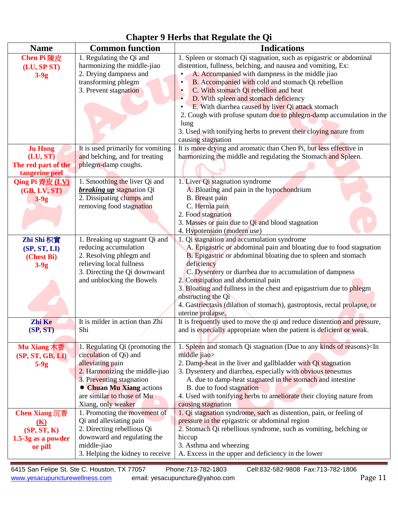| <b>Chapter 9 Herbs that Regulate the Qi</b> |                                                          |                                                                                     |
|---------------------------------------------|----------------------------------------------------------|-------------------------------------------------------------------------------------|
| <b>Name</b>                                 | <b>Common function</b>                                   | <b>Indications</b>                                                                  |
| <b>Chen Pi</b> 陳皮                           | 1. Regulating the Qi and                                 | 1. Spleen or stomach Qi stagnation, such as epigastric or abdominal                 |
| (LU, SP ST)                                 | harmonizing the middle-jiao                              | distention, fullness, belching, and nausea and vomiting, Ex:                        |
| $3-9g$                                      | 2. Drying dampness and                                   | A. Accompanied with dampness in the middle jiao                                     |
|                                             | transforming phlegm                                      | B. Accompanied with cold and stomach Qi rebellion                                   |
|                                             | 3. Prevent stagnation                                    | C. With stomach Qi rebellion and heat                                               |
|                                             |                                                          | D. With spleen and stomach deficiency                                               |
|                                             |                                                          | E. With diarrhea caused by liver Qi attack stomach                                  |
|                                             |                                                          | 2. Cough with profuse sputum due to phlegm-damp accumulation in the                 |
|                                             |                                                          | lung                                                                                |
|                                             |                                                          | 3. Used with tonifying herbs to prevent their cloying nature from                   |
|                                             |                                                          | causing stagnation                                                                  |
| <b>Ju Hong</b>                              | It is used primarily for vomiting                        | It is more drying and aromatic than Chen Pi, but less effective in                  |
| (LU, ST)                                    | and belching, and for treating                           | harmonizing the middle and regulating the Stomach and Spleen.                       |
| The red part of the                         | phlegm-damp coughs.                                      |                                                                                     |
| tangerine peel                              |                                                          |                                                                                     |
| Qing Pi 青皮 (LV)                             | 1. Smoothing the liver Qi and                            | 1. Liver Qi stagnation syndrome                                                     |
| (GB, LV, ST)                                | <i><b>breaking up stagnation Qi</b></i>                  | A. Bloating and pain in the hypochondrium                                           |
| $3-9g$                                      | 2. Dissipating clumps and                                | <b>B.</b> Breast pain                                                               |
|                                             | removing food stagnation                                 | C. Hernia pain                                                                      |
|                                             |                                                          | 2. Food stagnation                                                                  |
|                                             |                                                          | 3. Masses or pain due to Qi and blood stagnation                                    |
|                                             |                                                          | 4. Hypotension (modern use)                                                         |
| Zhi Shi 枳實                                  | 1. Breaking up stagnant Qi and                           | 1. Qi stagnation and accumulation syndrome                                          |
| (SP, ST, LI)                                | reducing accumulation                                    | A. Epigastric or abdominal pain and bloating due to food stagnation                 |
| (Chest Bi)                                  | 2. Resolving phlegm and                                  | B. Epigastric or abdominal bloating due to spleen and stomach                       |
| $3-9g$                                      | relieving local fullness<br>3. Directing the Qi downward | deficiency<br>C. Dysentery or diarrhea due to accumulation of dampness              |
|                                             | and unblocking the Bowels                                | 2. Constipation and abdominal pain                                                  |
|                                             |                                                          | 3. Bloating and fullness in the chest and epigastrium due to phlegm                 |
|                                             |                                                          | obstructing the Qi                                                                  |
|                                             |                                                          | 4. Gastriectasis (dilation of stomach), gastroptosis, rectal prolapse, or           |
|                                             |                                                          | uterine prolapse,                                                                   |
| Zhi Ke                                      | It is milder in action than Zhi                          | It is frequently used to move the qi and reduce distention and pressure.            |
| (SP, ST)                                    | Shi                                                      | and is especially appropriate when the patient is deficient or weak.                |
|                                             |                                                          |                                                                                     |
| Mu Xiang 木香                                 | 1. Regulating Qi (promoting the                          | 1. Spleen and stomach Qi stagnation (Due to any kinds of reasons) <in< th=""></in<> |
| (SP, ST, GB, LI)                            | circulation of Qi) and                                   | $middle$ jiao $>$                                                                   |
| $5-9g$                                      | alleviating pain                                         | 2. Damp-heat in the liver and gallbladder with Qi stagnation                        |
|                                             | 2. Harmonizing the middle-jiao                           | 3. Dysentery and diarrhea, especially with obvious tenesmus                         |
|                                             | 3. Preventing stagnation                                 | A. due to damp-heat stagnated in the stomach and intestine                          |
|                                             | <b>* Chuan Mu Xiang actions</b>                          | B. due to food stagnation                                                           |
|                                             | are similar to those of Mu                               | 4. Used with tonifying herbs to ameliorate their cloying nature from                |
|                                             | Xiang, only weaker                                       | causing stagnation                                                                  |
| <b>Chen Xiang 沉香</b>                        | 1. Promoting the movement of                             | 1. Qi stagnation syndrome, such as distention, pain, or feeling of                  |
| <u>(K)</u>                                  | Qi and alleviating pain                                  | pressure in the epigastric or abdominal region                                      |
| (SP, ST, K)                                 | 2. Directing rebellious Qi                               | 2. Stomach Qi rebellious syndrome, such as vomiting, belching or                    |
| 1.5-3g as a powder                          | downward and regulating the                              | hiccup                                                                              |
| or pill                                     | middle-jiao                                              | 3. Asthma and wheezing                                                              |
|                                             | 3. Helping the kidney to receive                         | A. Excess in the upper and deficiency in the lower                                  |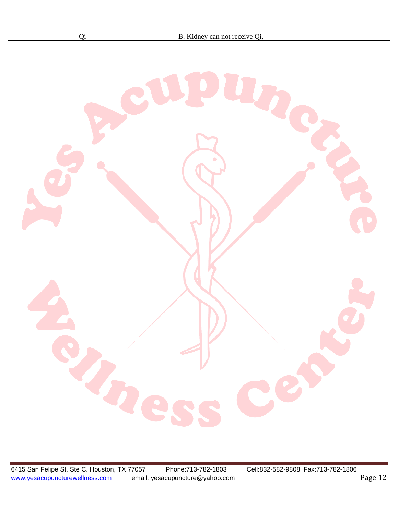![](_page_11_Picture_0.jpeg)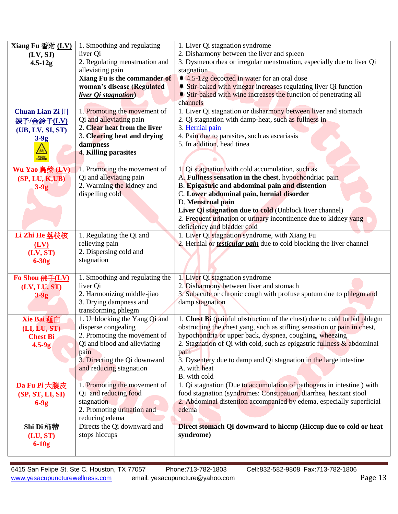| Xiang Fu 香附 (LV)       | 1. Smoothing and regulating     | 1. Liver Qi stagnation syndrome                                             |
|------------------------|---------------------------------|-----------------------------------------------------------------------------|
| (LV, SJ)               | liver Qi                        | 2. Disharmony between the liver and spleen                                  |
| $4.5 - 12g$            | 2. Regulating menstruation and  | 3. Dysmenorrhea or irregular menstruation, especially due to liver Qi       |
|                        | alleviating pain                | stagnation                                                                  |
|                        | Xiang Fu is the commander of    | * 4.5-12g decocted in water for an oral dose                                |
|                        | woman's disease (Regulated      | * Stir-baked with vinegar increases regulating liver Qi function            |
|                        | liver <i>Qi</i> stagnation)     | * Stir-baked with wine increases the function of penetrating all            |
|                        |                                 | channels                                                                    |
| Chuan Lian Zi //       | 1. Promoting the movement of    | 1. Liver Qi stagnation or disharmony between liver and stomach              |
| 鍊子/金鈴子(LV)             | Qi and alleviating pain         | 2. Qi stagnation with damp-heat, such as fullness in                        |
| (UB, LV, SI, ST)       | 2. Clear heat from the liver    | 3. Hernial pain                                                             |
| $3-9g$                 | 3. Clearing heat and drying     | 4. Pain due to parasites, such as ascariasis                                |
|                        | dampness                        | 5. In addition, head tinea                                                  |
| <b>TOXIC</b><br>HAZARD | 4. Killing parasites            |                                                                             |
|                        |                                 |                                                                             |
| Wu Yao 烏藥 (LV)         | 1. Promoting the movement of    | 1. Qi stagnation with cold accumulation, such as                            |
| (SP, LU, K, UB)        | Qi and alleviating pain         | A. Fullness sensation in the chest, hypochondriac pain                      |
| $3-9g$                 | 2. Warming the kidney and       | <b>B.</b> Epigastric and abdominal pain and distention                      |
|                        | dispelling cold                 | C. Lower abdominal pain, hernial disorder<br>D. Menstrual pain              |
|                        |                                 | Liver Qi stagnation due to cold (Unblock liver channel)                     |
|                        |                                 | 2. Frequent urination or urinary incontinence due to kidney yang            |
|                        |                                 | deficiency and bladder cold                                                 |
| Li Zhi He 荔枝核          | 1. Regulating the Qi and        | 1. Liver Qi stagnation syndrome, with Xiang Fu                              |
|                        | relieving pain                  | 2. Hernial or <i>testicular pain</i> due to cold blocking the liver channel |
| (LV)<br>(LV, ST)       | 2. Dispersing cold and          |                                                                             |
| $6-30g$                | stagnation                      |                                                                             |
|                        |                                 |                                                                             |
| <b>Fo Shou 佛手(LV)</b>  | 1. Smoothing and regulating the | 1. Liver Qi stagnation syndrome                                             |
| (LV, LU, ST)           | liver Qi                        | 2. Disharmony between liver and stomach                                     |
| $3-9g$                 | 2. Harmonizing middle-jiao      | 3. Subacute or chronic cough with profuse sputum due to phlegm and          |
|                        | 3. Drying dampness and          | damp stagnation                                                             |
|                        | transforming phlegm             |                                                                             |
| <b>Xie Bai 薤白</b>      | 1. Unblocking the Yang Qi and   | 1. Chest Bi (painful obstruction of the chest) due to cold turbid phlegm    |
| (LI, LU, ST)           | disperse congealing             | obstructing the chest yang, such as stifling sensation or pain in chest,    |
| <b>Chest Bi</b>        | 2. Promoting the movement of    | hypochondria or upper back, dyspnea, coughing, wheezing                     |
| $4.5 - 9g$             | Qi and blood and alleviating    | 2. Stagnation of Qi with cold, such as epigastric fullness $\&$ abdominal   |
|                        | pain                            | pain                                                                        |
|                        | 3. Directing the Qi downward    | 3. Dysentery due to damp and Qi stagnation in the large intestine           |
|                        | and reducing stagnation         | A. with heat                                                                |
|                        |                                 | B. with cold                                                                |
| Da Fu Pi 大腹皮           | 1. Promoting the movement of    | 1. Qi stagnation (Due to accumulation of pathogens in intestine) with       |
| (SP, ST, LI, SI)       | Qi and reducing food            | food stagnation (syndromes: Constipation, diarrhea, hesitant stool          |
| $6-9g$                 | stagnation                      | 2. Abdominal distention accompanied by edema, especially superficial        |
|                        | 2. Promoting urination and      | edema                                                                       |
|                        | reducing edema                  |                                                                             |
| Shi Di 柿蒂              | Directs the Qi downward and     | Direct stomach Qi downward to hiccup (Hiccup due to cold or heat            |
| (LU, ST)               | stops hiccups                   | syndrome)                                                                   |
| $6-10g$                |                                 |                                                                             |
|                        |                                 |                                                                             |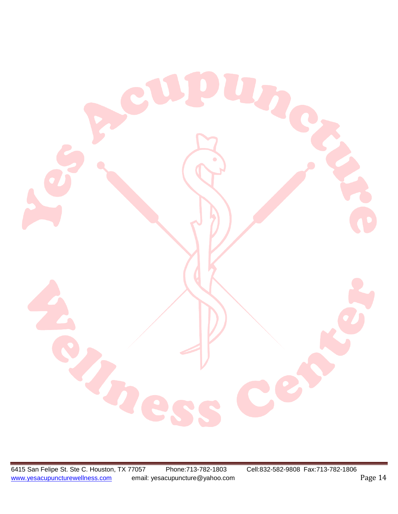![](_page_13_Picture_0.jpeg)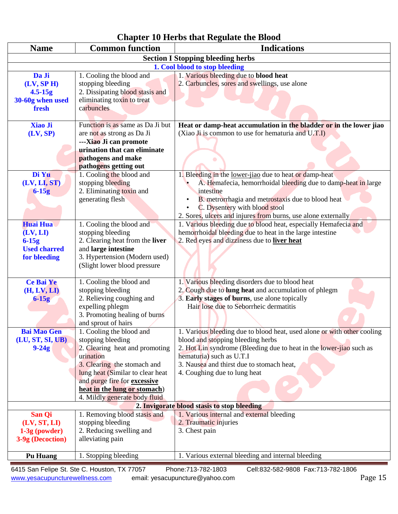| <b>Chapter 10 Herbs that Regulate the Blood</b>                                |                                                                                                                                                                                                                                                                  |                                                                                                                                                                                                                                                                                                          |
|--------------------------------------------------------------------------------|------------------------------------------------------------------------------------------------------------------------------------------------------------------------------------------------------------------------------------------------------------------|----------------------------------------------------------------------------------------------------------------------------------------------------------------------------------------------------------------------------------------------------------------------------------------------------------|
| <b>Name</b>                                                                    | <b>Common function</b>                                                                                                                                                                                                                                           | <b>Indications</b>                                                                                                                                                                                                                                                                                       |
| <b>Section I Stopping bleeding herbs</b>                                       |                                                                                                                                                                                                                                                                  |                                                                                                                                                                                                                                                                                                          |
|                                                                                |                                                                                                                                                                                                                                                                  | 1. Cool blood to stop bleeding                                                                                                                                                                                                                                                                           |
| Da Ji<br>(LV, SP H)<br>$4.5 - 15g$<br>30-60g when used<br>fresh                | 1. Cooling the blood and<br>stopping bleeding<br>2. Dissipating blood stasis and<br>eliminating toxin to treat<br>carbuncles                                                                                                                                     | 1. Various bleeding due to blood heat<br>2. Carbuncles, sores and swellings, use alone                                                                                                                                                                                                                   |
|                                                                                |                                                                                                                                                                                                                                                                  |                                                                                                                                                                                                                                                                                                          |
| <b>Xiao Ji</b><br>(LV, SP)                                                     | Function is as same as Da Ji but<br>are not as strong as Da Ji<br>---Xiao Ji can promote<br>urination that can eliminate<br>pathogens and make<br>pathogens getting out                                                                                          | Heat or damp-heat accumulation in the bladder or in the lower jiao<br>(Xiao Ji is common to use for hematuria and $U.T.D$ )                                                                                                                                                                              |
| Di Yu<br>(LV, LI, ST)<br>$6-15g$                                               | 1. Cooling the blood and<br>stopping bleeding<br>2. Eliminating toxin and<br>generating flesh                                                                                                                                                                    | 1. Bleeding in the lower-jiao due to heat or damp-heat<br>A. Hemafecia, hemorrhoidal bleeding due to damp-heat in large<br>intestine<br>B. metrorrhagia and metrostaxis due to blood heat<br>C. Dysentery with blood stool<br>$\bullet$<br>2. Sores, ulcers and injures from burns, use alone externally |
| <b>Huai Hua</b><br>(LV, LI)<br>$6-15g$<br><b>Used charred</b><br>for bleeding  | 1. Cooling the blood and<br>stopping bleeding<br>2. Clearing heat from the liver<br>and large intestine<br>3. Hypertension (Modern used)<br>(Slight lower blood pressure                                                                                         | 1. Various bleeding due to blood heat, especially Hemafecia and<br>hemorrhoidal bleeding due to heat in the large intestine<br>2. Red eyes and dizziness due to liver heat                                                                                                                               |
| <b>Ce Bai Ye</b><br>(H, LV, LI)<br>$6-15g$                                     | 1. Cooling the blood and<br>stopping bleeding<br>2. Relieving coughing and<br>expelling phlegm<br>3. Promoting healing of burns<br>and sprout of hairs                                                                                                           | 1. Various bleeding disorders due to blood heat<br>2. Cough due to lung heat and accumulation of phlegm<br>3. Early stages of burns, use alone topically<br>Hair lose due to Seborrheic dermatitis                                                                                                       |
| <b>Bai Mao Gen</b><br>(LU, ST, SI, UB)<br>$9-24g$                              | 1. Cooling the blood and<br>stopping bleeding<br>2. Clearing heat and promoting<br>urination<br>3. Clearing the stomach and<br>lung heat (Similar to clear heat<br>and purge fire for excessive<br>heat in the lung or stomach)<br>4. Mildly generate body fluid | 1. Various bleeding due to blood heat, used alone or with other cooling<br>blood and stopping bleeding herbs<br>2. Hot Lin syndrome (Bleeding due to heat in the lower-jiao such as<br>hematuria) such as U.T.I<br>3. Nausea and thirst due to stomach heat,<br>4. Coughing due to lung heat             |
|                                                                                |                                                                                                                                                                                                                                                                  | 2. Invigorate blood stasis to stop bleeding                                                                                                                                                                                                                                                              |
| San Qi<br>(LV, ST, LI)<br>1-3g (powder)<br>3-9g (Decoction)<br><b>Pu Huang</b> | 1. Removing blood stasis and<br>stopping bleeding<br>2. Reducing swelling and<br>alleviating pain<br>1. Stopping bleeding                                                                                                                                        | 1. Various internal and external bleeding<br>2. Traumatic injuries<br>3. Chest pain<br>1. Various external bleeding and internal bleeding                                                                                                                                                                |
|                                                                                |                                                                                                                                                                                                                                                                  |                                                                                                                                                                                                                                                                                                          |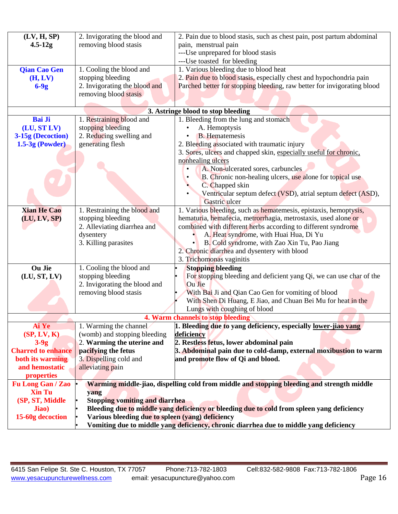| (LV, H, SP)               | 2. Invigorating the blood and                    | 2. Pain due to blood stasis, such as chest pain, post partum abdominal                     |
|---------------------------|--------------------------------------------------|--------------------------------------------------------------------------------------------|
| $4.5 - 12g$               | removing blood stasis                            | pain, menstrual pain                                                                       |
|                           |                                                  | ---Use unprepared for blood stasis                                                         |
|                           |                                                  | ---Use toasted for bleeding                                                                |
| <b>Qian Cao Gen</b>       | 1. Cooling the blood and                         | 1. Various bleeding due to blood heat                                                      |
| (H, LV)                   | stopping bleeding                                | 2. Pain due to blood stasis, especially chest and hypochondria pain                        |
| $6-9g$                    | 2. Invigorating the blood and                    | Parched better for stopping bleeding, raw better for invigorating blood                    |
|                           | removing blood stasis                            |                                                                                            |
|                           |                                                  | 3. Astringe blood to stop bleeding                                                         |
| <b>Bai Ji</b>             | 1. Restraining blood and                         | 1. Bleeding from the lung and stomach                                                      |
| (LU, ST LV)               | stopping bleeding                                | A. Hemoptysis                                                                              |
| 3-15g (Decoction)         | 2. Reducing swelling and                         | <b>B.</b> Hematemesis                                                                      |
| $1.5-3g$ (Powder)         | generating flesh                                 | 2. Bleeding associated with traumatic injury                                               |
|                           |                                                  | 3. Sores, ulcers and chapped skin, especially useful for chronic.                          |
|                           |                                                  | nonhealing ulcers                                                                          |
|                           |                                                  | A. Non-ulcerated sores, carbuncles                                                         |
|                           |                                                  | B. Chronic non-healing ulcers, use alone for topical use                                   |
|                           |                                                  | C. Chapped skin                                                                            |
|                           |                                                  | Ventricular septum defect (VSD), atrial septum defect (ASD),                               |
|                           |                                                  | Gastric ulcer                                                                              |
| <b>Xian He Cao</b>        | 1. Restraining the blood and                     | 1. Various bleeding, such as hematemesis, epistaxis, hemoptysis,                           |
| (LU, LV, SP)              | stopping bleeding                                | hematuria, hemafecia, metrorrhagia, metrostaxis, used alone or                             |
|                           | 2. Alleviating diarrhea and                      | combined with different herbs according to different syndrome                              |
|                           | dysentery                                        | A. Heat syndrome, with Huai Hua, Di Yu                                                     |
|                           | 3. Killing parasites                             | B. Cold syndrome, with Zao Xin Tu, Pao Jiang                                               |
|                           |                                                  | 2. Chronic diarrhea and dysentery with blood                                               |
|                           |                                                  | 3. Trichomonas vaginitis                                                                   |
| Ou Jie                    | 1. Cooling the blood and                         | <b>Stopping bleeding</b>                                                                   |
| (LU, ST, LV)              | stopping bleeding                                | For stopping bleeding and deficient yang Qi, we can use char of the                        |
|                           | 2. Invigorating the blood and                    | Ou Jie                                                                                     |
|                           | removing blood stasis                            | With Bai Ji and Qian Cao Gen for vomiting of blood                                         |
|                           |                                                  | With Shen Di Huang, E Jiao, and Chuan Bei Mu for heat in the                               |
|                           |                                                  | Lungs with coughing of blood                                                               |
|                           |                                                  | 4. Warm channels to stop bleeding                                                          |
| Ai Ye                     | 1. Warming the channel                           | 1. Bleeding due to yang deficiency, especially lower-jiao yang                             |
| (SP, LV, K)               | (womb) and stopping bleeding                     | deficiency                                                                                 |
| $3-9g$                    | 2. Warming the uterine and                       | 2. Restless fetus, lower abdominal pain                                                    |
| <b>Charred to enhance</b> | pacifying the fetus                              | 3. Abdominal pain due to cold-damp, external moxibustion to warm                           |
| both its warming          | 3. Dispelling cold and                           | and promote flow of Qi and blood.                                                          |
| and hemostatic            | alleviating pain                                 |                                                                                            |
| properties                |                                                  |                                                                                            |
| Fu Long Gan / Zao         |                                                  | Warming middle-jiao, dispelling cold from middle and stopping bleeding and strength middle |
| <b>Xin Tu</b>             | yang                                             |                                                                                            |
| (SP, ST, Middle           | <b>Stopping vomiting and diarrhea</b>            |                                                                                            |
| Jiao)                     |                                                  | Bleeding due to middle yang deficiency or bleeding due to cold from spleen yang deficiency |
| 15-60g decoction          | Various bleeding due to spleen (yang) deficiency |                                                                                            |
|                           |                                                  | Vomiting due to middle yang deficiency, chronic diarrhea due to middle yang deficiency     |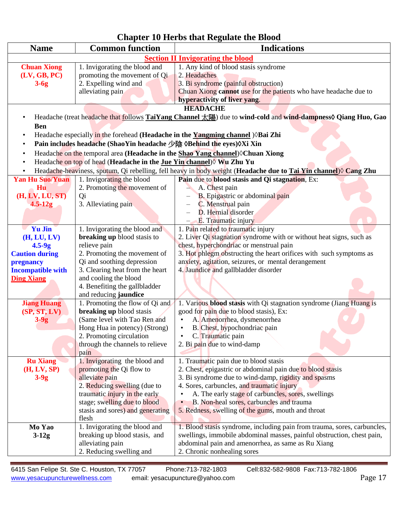| <b>Chapter 10 Herbs that Regulate the Blood</b>                                 |                                                                       |                                                                                                                |  |  |
|---------------------------------------------------------------------------------|-----------------------------------------------------------------------|----------------------------------------------------------------------------------------------------------------|--|--|
| <b>Name</b>                                                                     | <b>Common function</b>                                                | <b>Indications</b>                                                                                             |  |  |
|                                                                                 |                                                                       | <b>Section II Invigorating the blood</b>                                                                       |  |  |
| <b>Chuan Xiong</b>                                                              | 1. Invigorating the blood and                                         | 1. Any kind of blood stasis syndrome                                                                           |  |  |
| (LV, GB, PC)                                                                    | promoting the movement of Qi                                          | 2. Headaches                                                                                                   |  |  |
| $3-6g$                                                                          | 2. Expelling wind and                                                 | 3. Bi syndrome (painful obstruction)                                                                           |  |  |
|                                                                                 | alleviating pain                                                      | Chuan Xiong cannot use for the patients who have headache due to                                               |  |  |
|                                                                                 |                                                                       | hyperactivity of liver yang.                                                                                   |  |  |
| <b>HEADACHE</b>                                                                 |                                                                       |                                                                                                                |  |  |
|                                                                                 |                                                                       | Headache (treat headache that follows TaiYang Channel 太陽) due to wind-cold and wind-dampness Qiang Huo, Gao    |  |  |
| <b>Ben</b>                                                                      |                                                                       |                                                                                                                |  |  |
| Headache especially in the forehead (Headache in the Yangming channel) \Bai Zhi |                                                                       |                                                                                                                |  |  |
| $\bullet$                                                                       | Pain includes headache (ShaoYin headache 少陰 VBehind the eyes) VXi Xin |                                                                                                                |  |  |
| $\bullet$                                                                       |                                                                       | Headache on the temporal area (Headache in the Shao Yang channel) Chuan Xiong                                  |  |  |
| $\bullet$                                                                       | Headache on top of head (Headache in the Jue Yin channel) Wu Zhu Yu   |                                                                                                                |  |  |
| $\bullet$                                                                       |                                                                       | Headache-heaviness, sputum, Qi rebelling, fell heavy in body weight (Headache due to Tai Yin channel) Cang Zhu |  |  |
| <b>Yan Hu Suo/Yuan</b>                                                          | 1. Invigorating the blood                                             | Pain due to blood stasis and Qi stagnation, Ex:                                                                |  |  |
| Hu                                                                              | 2. Promoting the movement of                                          | A. Chest pain                                                                                                  |  |  |
| (H, LV, LU, ST)                                                                 | Qi                                                                    | B. Epigastric or abdominal pain                                                                                |  |  |
| $4.5 - 12g$                                                                     | 3. Alleviating pain                                                   | C. Menstrual pain                                                                                              |  |  |
|                                                                                 |                                                                       | D. Hernial disorder                                                                                            |  |  |
|                                                                                 |                                                                       | E. Traumatic injury                                                                                            |  |  |
| <b>Yu Jin</b>                                                                   | 1. Invigorating the blood and                                         | 1. Pain related to traumatic injury                                                                            |  |  |
| (H, LU, LV)                                                                     | <b>breaking up</b> blood stasis to                                    | 2. Liver Qi stagnation syndrome with or without heat signs, such as                                            |  |  |
| $4.5 - 9g$                                                                      | relieve pain                                                          | chest, hyperchondriac or menstrual pain                                                                        |  |  |
| <b>Caution during</b>                                                           | 2. Promoting the movement of                                          | 3. Hot phlegm obstructing the heart orifices with such symptoms as                                             |  |  |
| pregnancy                                                                       | Qi and soothing depression                                            | anxiety, agitation, seizures, or mental derangement                                                            |  |  |
| <b>Incompatible with</b>                                                        | 3. Clearing heat from the heart                                       | 4. Jaundice and gallbladder disorder                                                                           |  |  |
| <b>Ding Xiang</b>                                                               | and cooling the blood<br>4. Benefiting the gallbladder                |                                                                                                                |  |  |
|                                                                                 | and reducing jaundice                                                 |                                                                                                                |  |  |
| <b>Jiang Huang</b>                                                              | 1. Promoting the flow of Qi and                                       | 1. Various blood stasis with Qi stagnation syndrome (Jiang Huang is                                            |  |  |
| (SP, ST, LV)                                                                    | breaking up blood stasis                                              | good for pain due to blood stasis), Ex:                                                                        |  |  |
| $3-9g$                                                                          | (Same level with Tao Ren and                                          | A. Amenorrhea, dysmenorrhea<br>$\bullet$                                                                       |  |  |
|                                                                                 | Hong Hua in potency) (Strong)                                         | B. Chest, hypochondriac pain                                                                                   |  |  |
|                                                                                 | 2. Promoting circulation                                              | C. Traumatic pain                                                                                              |  |  |
|                                                                                 | through the channels to relieve                                       | 2. Bi pain due to wind-damp                                                                                    |  |  |
|                                                                                 | pain                                                                  |                                                                                                                |  |  |
| <b>Ru Xiang</b>                                                                 | 1. Invigorating the blood and                                         | 1. Traumatic pain due to blood stasis                                                                          |  |  |
| (H, LV, SP)                                                                     | promoting the Qi flow to                                              | 2. Chest, epigastric or abdominal pain due to blood stasis                                                     |  |  |
| $3-9g$                                                                          | alleviate pain                                                        | 3. Bi syndrome due to wind-damp, rigidity and spasms                                                           |  |  |
|                                                                                 | 2. Reducing swelling (due to                                          | 4. Sores, carbuncles, and traumatic injury                                                                     |  |  |
|                                                                                 | traumatic injury in the early                                         | A. The early stage of carbuncles, sores, swellings                                                             |  |  |
|                                                                                 | stage; swelling due to blood                                          | B. Non-heal sores, carbuncles and trauma                                                                       |  |  |
|                                                                                 | stasis and sores) and generating                                      | 5. Redness, swelling of the gums, mouth and throat                                                             |  |  |
|                                                                                 | flesh                                                                 |                                                                                                                |  |  |
| Mo Yao                                                                          | 1. Invigorating the blood and                                         | 1. Blood stasis syndrome, including pain from trauma, sores, carbuncles,                                       |  |  |
| $3-12g$                                                                         | breaking up blood stasis, and                                         | swellings, immobile abdominal masses, painful obstruction, chest pain,                                         |  |  |
|                                                                                 | alleviating pain                                                      | abdominal pain and amenorrhea, as same as Ru Xiang<br>2. Chronic nonhealing sores                              |  |  |
|                                                                                 | 2. Reducing swelling and                                              |                                                                                                                |  |  |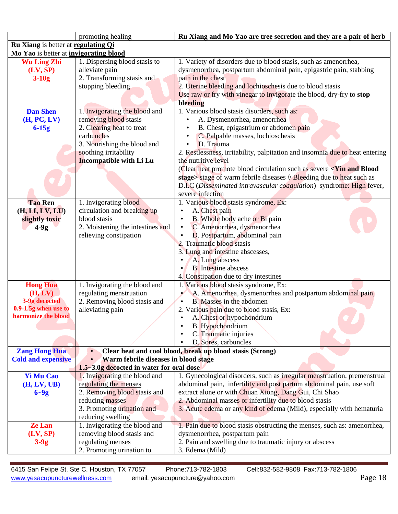|                                               | promoting healing                                 | Ru Xiang and Mo Yao are tree secretion and they are a pair of herb                      |
|-----------------------------------------------|---------------------------------------------------|-----------------------------------------------------------------------------------------|
| Ru Xiang is better at regulating Qi           |                                                   |                                                                                         |
| Mo Yao is better at <i>invigorating</i> blood |                                                   |                                                                                         |
| <b>Wu Ling Zhi</b>                            | 1. Dispersing blood stasis to                     | 1. Variety of disorders due to blood stasis, such as amenorrhea,                        |
| (LV, SP)                                      | alleviate pain                                    | dysmenorrhea, postpartum abdominal pain, epigastric pain, stabbing                      |
| $3-10g$                                       | 2. Transforming stasis and                        | pain in the chest                                                                       |
|                                               | stopping bleeding                                 | 2. Uterine bleeding and lochioschesis due to blood stasis                               |
|                                               |                                                   | Use raw or fry with vinegar to invigorate the blood, dry-fry to stop                    |
|                                               |                                                   | bleeding                                                                                |
| <b>Dan Shen</b>                               | 1. Invigorating the blood and                     | 1. Various blood stasis disorders, such as:                                             |
| (H, PC, LV)                                   | removing blood stasis                             | A. Dysmenorrhea, amenorrhea                                                             |
| $6-15g$                                       | 2. Clearing heat to treat                         | B. Chest, epigastrium or abdomen pain                                                   |
|                                               | carbuncles                                        | C. Palpable masses, lochioschesis                                                       |
|                                               | 3. Nourishing the blood and                       | D. Trauma                                                                               |
|                                               | soothing irritability                             | 2. Restlessness, irritability, palpitation and insomnia due to heat entering            |
|                                               | <b>Incompatible with Li Lu</b>                    | the nutritive level                                                                     |
|                                               |                                                   | (Clear heat promote blood circulation such as severe <yin and="" blood<="" th=""></yin> |
|                                               |                                                   | stage> stage of warm febrile diseases $\Diamond$ Bleeding due to heat such as           |
|                                               |                                                   | D.I.C (Disseminated intravascular coagulation) syndrome: High fever,                    |
|                                               |                                                   | severe infection                                                                        |
| <b>Tao Ren</b>                                | 1. Invigorating blood                             | 1. Various blood stasis syndrome, Ex:                                                   |
| (H, LI, LV, LU)                               | circulation and breaking up                       | A. Chest pain                                                                           |
| slightly toxic                                | blood stasis                                      | B. Whole body ache or Bi pain                                                           |
| $4-9g$                                        | 2. Moistening the intestines and                  | C. Amenorrhea, dysmenorrhea                                                             |
|                                               | relieving constipation                            | D. Postpartum, abdominal pain                                                           |
|                                               |                                                   | 2. Traumatic blood stasis                                                               |
|                                               |                                                   | 3. Lung and intestine abscesses,                                                        |
|                                               |                                                   | A. Lung abscess                                                                         |
|                                               |                                                   | <b>B.</b> Intestine abscess                                                             |
|                                               |                                                   | 4. Constipation due to dry intestines                                                   |
| <b>Hong Hua</b>                               | 1. Invigorating the blood and                     | 1. Various blood stasis syndrome, Ex:                                                   |
| (H, LV)                                       | regulating menstruation                           | A. Amenorrhea, dysmenorrhea and postpartum abdominal pain,                              |
| 3-9g decocted                                 | 2. Removing blood stasis and                      | B. Masses in the abdomen                                                                |
| 0.9-1.5g when use to                          | alleviating pain                                  | 2. Various pain due to blood stasis, Ex:                                                |
| harmonize the blood                           |                                                   | A. Chest or hypochondrium<br>$\bullet$                                                  |
|                                               |                                                   | <b>B.</b> Hypochondrium                                                                 |
|                                               |                                                   | C. Traumatic injuries                                                                   |
|                                               |                                                   | D. Sores, carbuncles                                                                    |
| <b>Zang Hong Hua</b>                          | $\bullet$                                         | Clear heat and cool blood, break up blood stasis (Strong)                               |
| <b>Cold and expensive</b>                     | Warm febrile diseases in blood stage<br>$\bullet$ |                                                                                         |
|                                               | $1.5 - 3.0g$ decocted in water for oral dose      |                                                                                         |
| <b>Yi Mu Cao</b>                              | 1. Invigorating the blood and                     | 1. Gynecological disorders, such as <i>irregular menstruation</i> , premenstrual        |
| (H, LV, UB)                                   | regulating the menses                             | abdominal pain, infertility and post partum abdominal pain, use soft                    |
| $6-9g$                                        | 2. Removing blood stasis and                      | extract alone or with Chuan Xiong, Dang Gui, Chi Shao                                   |
|                                               | reducing masses                                   | 2. Abdominal masses or infertility due to blood stasis                                  |
|                                               | 3. Promoting urination and                        | 3. Acute edema or any kind of edema (Mild), especially with hematuria                   |
|                                               | reducing swelling                                 |                                                                                         |
| <b>Ze Lan</b>                                 | 1. Invigorating the blood and                     | 1. Pain due to blood stasis obstructing the menses, such as: amenorrhea,                |
| (LV, SP)                                      | removing blood stasis and                         | dysmenorrhea, postpartum pain                                                           |
| $3-9g$                                        | regulating menses                                 | 2. Pain and swelling due to traumatic injury or abscess                                 |
|                                               | 2. Promoting urination to                         | 3. Edema (Mild)                                                                         |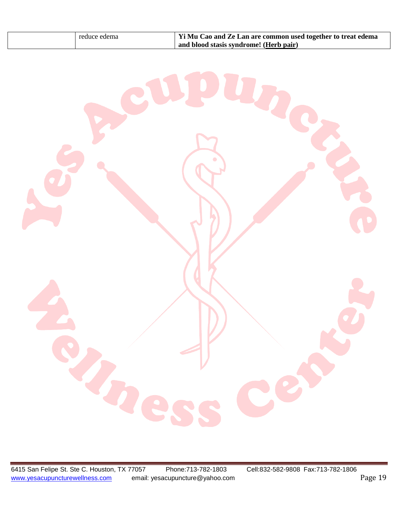| reduce edema | Yi Mu Cao and Ze Lan are common used together to treat edema |
|--------------|--------------------------------------------------------------|
|              | and blood stasis syndrome! (Herb pair)                       |

![](_page_18_Picture_1.jpeg)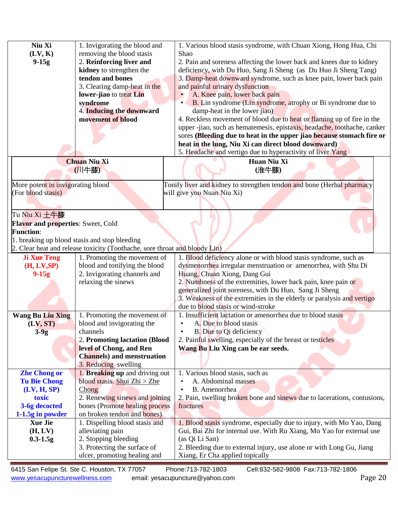| Niu Xi                             | 1. Invigorating the blood and                                              | 1. Various blood stasis syndrome, with Chuan Xiong, Hong Hua, Chi        |
|------------------------------------|----------------------------------------------------------------------------|--------------------------------------------------------------------------|
| (LV, K)                            | removing the blood stasis                                                  | Shao                                                                     |
| $9-15g$                            | 2. Reinforcing liver and                                                   | 2. Pain and soreness affecting the lower back and knees due to kidney    |
|                                    | kidney to strengthen the                                                   | deficiency, with Du Huo, Sang Ji Sheng (as Du Huo Ji Sheng Tang)         |
|                                    | tendon and bones                                                           | 3. Damp-heat downward syndrome, such as knee pain, lower back pain       |
|                                    | 3. Clearing damp-heat in the                                               | and painful urinary dysfunction                                          |
|                                    | lower-jiao to treat Lin                                                    | A. Knee pain, lower back pain                                            |
|                                    | syndrome                                                                   | <b>B.</b> Lin syndrome (Lin syndrome, atrophy or Bi syndrome due to      |
|                                    | 4. Inducing the downward                                                   | damp-heat in the lower jiao)                                             |
|                                    | movement of blood                                                          | 4. Reckless movement of blood due to heat or flaming up of fire in the   |
|                                    |                                                                            | upper -jiao, such as hematemesis, epistaxis, headache, toothache, canker |
|                                    |                                                                            | sores (Bleeding due to heat in the upper jiao because stomach fire or    |
|                                    |                                                                            | heat in the lung, Niu Xi can direct blood downward)                      |
|                                    |                                                                            | 5. Headache and vertigo due to hyperactivity of liver Yang               |
|                                    | <b>Chuan Niu Xi</b>                                                        | Huan Niu Xi                                                              |
|                                    | (川牛膝)                                                                      | (淮牛膝)                                                                    |
|                                    |                                                                            |                                                                          |
| More potent in invigorating blood  |                                                                            | Tonify liver and kidney to strengthen tendon and bone (Herbal pharmacy   |
| (For blood stasis)                 |                                                                            | will give you Nuan Niu Xi)                                               |
|                                    |                                                                            |                                                                          |
| Tu Niu Xi 土牛膝                      |                                                                            |                                                                          |
| Flavor and properties: Sweet, Cold |                                                                            |                                                                          |
| <b>Function:</b>                   |                                                                            |                                                                          |
|                                    | 1. breaking up blood stasis and stop bleeding                              |                                                                          |
|                                    | 2. Clear heat and release toxicity (Toothache, sore throat and bloody Lin) |                                                                          |
| <b>Ji Xue Teng</b>                 | 1. Promoting the movement of                                               | 1. Blood deficiency alone or with blood stasis syndrome, such as         |
| (H, LV, SP)                        | blood and tonifying the blood                                              | dysmenorrhea irregular menstruation or amenorrhea, with Shu Di           |
| $9-15g$                            | 2. Invigorating channels and                                               | Huang, Chuan Xiong, Dang Gui                                             |
|                                    | relaxing the sinews                                                        | 2. Numbness of the extremities, lower back pain, knee pain or            |
|                                    |                                                                            | generalized joint soreness, with Du Huo, Sang Ji Sheng                   |
|                                    |                                                                            | 3. Weakness of the extremities in the elderly or paralysis and vertigo   |
|                                    |                                                                            | due to blood stasis or wind-stroke                                       |
| <b>Wang Bu Liu Xing</b>            | 1. Promoting the movement of                                               | 1. Insufficient lactation or amenorrhea due to blood stasis              |
| (LV, ST)                           | blood and invigorating the                                                 | A. Due to blood stasis<br>$\bullet$                                      |
| $3-9g$                             | channels                                                                   | B. Due to Qi deficiency                                                  |
|                                    | 2. Promoting lactation (Blood                                              | 2. Painful swelling, especially of the breast or testicles               |
|                                    | level of Chong, and Ren                                                    | Wang Bu Liu Xing can be ear seeds.                                       |
|                                    | <b>Channels</b> ) and menstruation                                         |                                                                          |
|                                    | 3. Reducing swelling                                                       |                                                                          |
| <b>Zhe Chong or</b>                | 1. Breaking up and driving out                                             | 1. Various blood stasis, such as                                         |
| <b>Tu Bie Chong</b>                | blood stasis. Shui $Zhi > Zhe$                                             | A. Abdominal masses<br>$\bullet$                                         |
| (LV, H, SP)                        | Chong                                                                      | B. Amenorrhea<br>$\bullet$                                               |
| toxic                              | 2. Renewing sinews and joining                                             | 2. Pain, swelling broken bone and sinews due to lacerations, contusions, |
| 3-6g decocted                      | bones (Promote healing process                                             | fractures                                                                |
| 1-1.5g in powder                   | on broken tendon and bones)                                                |                                                                          |
| <b>Xue Jie</b>                     | 1. Dispelling blood stasis and                                             | 1. Blood stasis syndrome, especially due to injury, with Mo Yao, Dang    |
| (H, LV)                            | alleviating pain                                                           | Gui, Bai Zhi for internal use. With Ru Xiang, Mo Yao for external use    |
| $0.3 - 1.5g$                       | 2. Stopping bleeding                                                       | (as Qi Li San)                                                           |
|                                    | 3. Protecting the surface of                                               | 2. Bleeding due to external injury, use alone or with Long Gu, Jiang     |
|                                    | ulcer, promoting healing and                                               | Xiang, Er Cha applied topically                                          |
|                                    |                                                                            |                                                                          |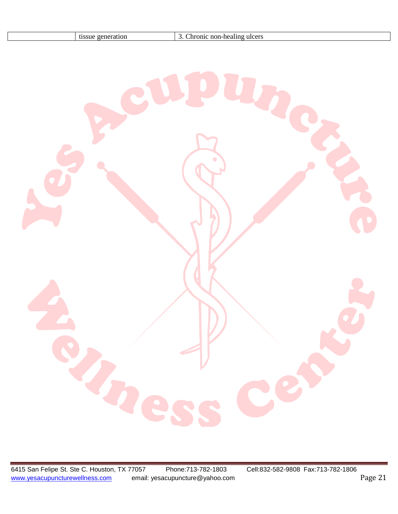| tissue generation |
|-------------------|

![](_page_20_Picture_2.jpeg)